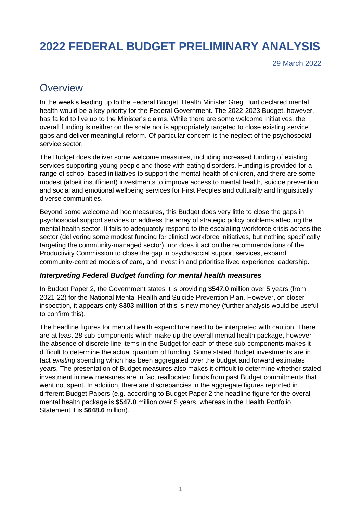# **2022 FEDERAL BUDGET PRELIMINARY ANALYSIS**

# **Overview**

In the week's leading up to the Federal Budget, Health Minister Greg Hunt declared mental health would be a key priority for the Federal Government. The 2022-2023 Budget, however, has failed to live up to the Minister's claims. While there are some welcome initiatives, the overall funding is neither on the scale nor is appropriately targeted to close existing service gaps and deliver meaningful reform. Of particular concern is the neglect of the psychosocial service sector.

The Budget does deliver some welcome measures, including increased funding of existing services supporting young people and those with eating disorders. Funding is provided for a range of school-based initiatives to support the mental health of children, and there are some modest (albeit insufficient) investments to improve access to mental health, suicide prevention and social and emotional wellbeing services for First Peoples and culturally and linguistically diverse communities.

Beyond some welcome ad hoc measures, this Budget does very little to close the gaps in psychosocial support services or address the array of strategic policy problems affecting the mental health sector. It fails to adequately respond to the escalating workforce crisis across the sector (delivering some modest funding for clinical workforce initiatives, but nothing specifically targeting the community-managed sector), nor does it act on the recommendations of the Productivity Commission to close the gap in psychosocial support services, expand community-centred models of care, and invest in and prioritise lived experience leadership.

#### *Interpreting Federal Budget funding for mental health measures*

In Budget Paper 2, the Government states it is providing **\$547.0** million over 5 years (from 2021-22) for the National Mental Health and Suicide Prevention Plan. However, on closer inspection, it appears only **\$303 million** of this is new money (further analysis would be useful to confirm this).

The headline figures for mental health expenditure need to be interpreted with caution. There are at least 28 sub-components which make up the overall mental health package, however the absence of discrete line items in the Budget for each of these sub-components makes it difficult to determine the actual quantum of funding. Some stated Budget investments are in fact *existing* spending which has been aggregated over the budget and forward estimates years. The presentation of Budget measures also makes it difficult to determine whether stated investment in new measures are in fact reallocated funds from past Budget commitments that went not spent. In addition, there are discrepancies in the aggregate figures reported in different Budget Papers (e.g. according to Budget Paper 2 the headline figure for the overall mental health package is **\$547.0** million over 5 years, whereas in the Health Portfolio Statement it is **\$648.6** million).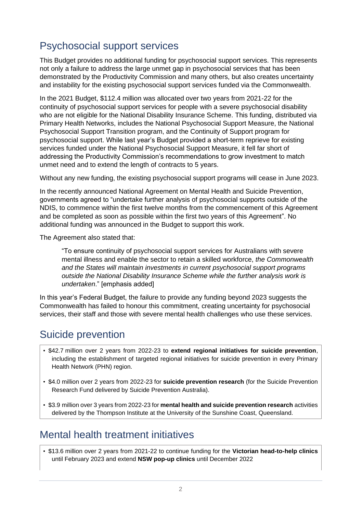# Psychosocial support services

This Budget provides no additional funding for psychosocial support services. This represents not only a failure to address the large unmet gap in psychosocial services that has been demonstrated by the Productivity Commission and many others, but also creates uncertainty and instability for the existing psychosocial support services funded via the Commonwealth.

In the 2021 Budget, \$112.4 million was allocated over two years from 2021-22 for the continuity of psychosocial support services for people with a severe psychosocial disability who are not eligible for the National Disability Insurance Scheme. This funding, distributed via Primary Health Networks, includes the National Psychosocial Support Measure, the National Psychosocial Support Transition program, and the Continuity of Support program for psychosocial support. While last year's Budget provided a short-term reprieve for existing services funded under the National Psychosocial Support Measure, it fell far short of addressing the Productivity Commission's recommendations to grow investment to match unmet need and to extend the length of contracts to 5 years.

Without any new funding, the existing psychosocial support programs will cease in June 2023.

In the recently announced National Agreement on Mental Health and Suicide Prevention, governments agreed to "undertake further analysis of psychosocial supports outside of the NDIS, to commence within the first twelve months from the commencement of this Agreement and be completed as soon as possible within the first two years of this Agreement". No additional funding was announced in the Budget to support this work.

The Agreement also stated that:

"To ensure continuity of psychosocial support services for Australians with severe mental illness and enable the sector to retain a skilled workforce, *the Commonwealth and the States will maintain investments in current psychosocial support programs outside the National Disability Insurance Scheme while the further analysis work is undertaken*." [emphasis added]

In this year's Federal Budget, the failure to provide any funding beyond 2023 suggests the Commonwealth has failed to honour this commitment, creating uncertainty for psychosocial services, their staff and those with severe mental health challenges who use these services.

# Suicide prevention

- \$42.7 million over 2 years from 2022-23 to **extend regional initiatives for suicide prevention**, including the establishment of targeted regional initiatives for suicide prevention in every Primary Health Network (PHN) region.
- \$4.0 million over 2 years from 2022-23 for **suicide prevention research** (for the Suicide Prevention Research Fund delivered by Suicide Prevention Australia).
- \$3.9 million over 3 years from 2022-23 for **mental health and suicide prevention research** activities delivered by the Thompson Institute at the University of the Sunshine Coast, Queensland.

# Mental health treatment initiatives

• \$13.6 million over 2 years from 2021-22 to continue funding for the **Victorian head-to-help clinics** until February 2023 and extend **NSW pop-up clinics** until December 2022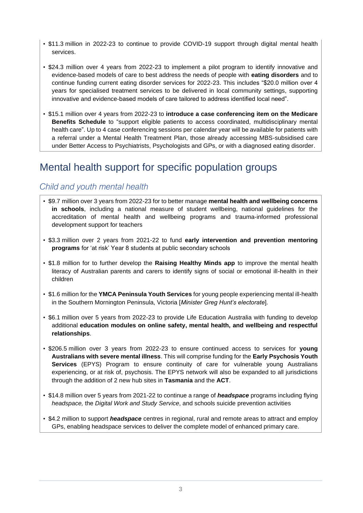- \$11.3 million in 2022-23 to continue to provide COVID-19 support through digital mental health services.
- \$24.3 million over 4 years from 2022-23 to implement a pilot program to identify innovative and evidence-based models of care to best address the needs of people with **eating disorders** and to continue funding current eating disorder services for 2022-23. This includes "\$20.0 million over 4 years for specialised treatment services to be delivered in local community settings, supporting innovative and evidence-based models of care tailored to address identified local need".
- \$15.1 million over 4 years from 2022-23 to **introduce a case conferencing item on the Medicare Benefits Schedule** to "support eligible patients to access coordinated, multidisciplinary mental health care". Up to 4 case conferencing sessions per calendar year will be available for patients with a referral under a Mental Health Treatment Plan, those already accessing MBS-subsidised care under Better Access to Psychiatrists, Psychologists and GPs, or with a diagnosed eating disorder.

# Mental health support for specific population groups

### *Child and youth mental health*

- \$9.7 million over 3 years from 2022-23 for to better manage **mental health and wellbeing concerns in schools**, including a national measure of student wellbeing, national guidelines for the accreditation of mental health and wellbeing programs and trauma-informed professional development support for teachers
- \$3.3 million over 2 years from 2021-22 to fund **early intervention and prevention mentoring programs** for 'at risk' Year 8 students at public secondary schools
- \$1.8 million for to further develop the **Raising Healthy Minds app** to improve the mental health literacy of Australian parents and carers to identify signs of social or emotional ill-health in their children
- \$1.6 million for the **YMCA Peninsula Youth Services** for young people experiencing mental ill-health in the Southern Mornington Peninsula, Victoria [*Minister Greg Hunt's electorate*].
- \$6.1 million over 5 years from 2022-23 to provide Life Education Australia with funding to develop additional **education modules on online safety, mental health, and wellbeing and respectful relationships**.
- \$206.5 million over 3 years from 2022-23 to ensure continued access to services for **young Australians with severe mental illness**. This will comprise funding for the **Early Psychosis Youth Services** (EPYS) Program to ensure continuity of care for vulnerable young Australians experiencing, or at risk of, psychosis. The EPYS network will also be expanded to all jurisdictions through the addition of 2 new hub sites in **Tasmania** and the **ACT**.
- \$14.8 million over 5 years from 2021-22 to continue a range of *headspace* programs including flying *headspace,* the *Digital Work and Study Service*, and schools suicide prevention activities
- \$4.2 million to support *headspace* centres in regional, rural and remote areas to attract and employ GPs, enabling headspace services to deliver the complete model of enhanced primary care.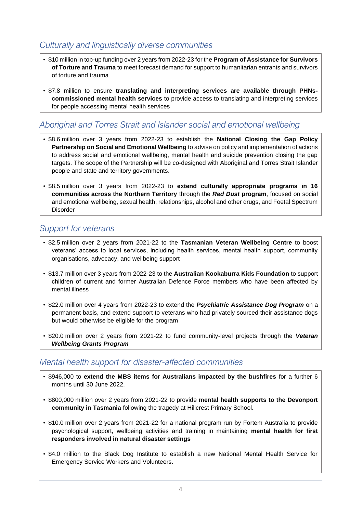## *Culturally and linguistically diverse communities*

- \$10 million in top-up funding over 2 years from 2022-23 for the **Program of Assistance for Survivors of Torture and Trauma** to meet forecast demand for support to humanitarian entrants and survivors of torture and trauma
- \$7.8 million to ensure **translating and interpreting services are available through PHNscommissioned mental health services** to provide access to translating and interpreting services for people accessing mental health services

### *Aboriginal and Torres Strait and Islander social and emotional wellbeing*

- \$8.6 million over 3 years from 2022-23 to establish the **National Closing the Gap Policy Partnership on Social and Emotional Wellbeing** to advise on policy and implementation of actions to address social and emotional wellbeing, mental health and suicide prevention closing the gap targets. The scope of the Partnership will be co-designed with Aboriginal and Torres Strait Islander people and state and territory governments.
- \$8.5 million over 3 years from 2022-23 to **extend culturally appropriate programs in 16 communities across the Northern Territory** through the *Red Dust* **program**, focused on social and emotional wellbeing, sexual health, relationships, alcohol and other drugs, and Foetal Spectrum Disorder

### *Support for veterans*

- \$2.5 million over 2 years from 2021-22 to the **Tasmanian Veteran Wellbeing Centre** to boost veterans' access to local services, including health services, mental health support, community organisations, advocacy, and wellbeing support
- \$13.7 million over 3 years from 2022-23 to the **Australian Kookaburra Kids Foundation** to support children of current and former Australian Defence Force members who have been affected by mental illness
- \$22.0 million over 4 years from 2022-23 to extend the *Psychiatric Assistance Dog Program* on a permanent basis, and extend support to veterans who had privately sourced their assistance dogs but would otherwise be eligible for the program
- \$20.0 million over 2 years from 2021-22 to fund community-level projects through the *Veteran Wellbeing Grants Program*

### *Mental health support for disaster-affected communities*

- \$946,000 to **extend the MBS items for Australians impacted by the bushfires** for a further 6 months until 30 June 2022.
- \$800,000 million over 2 years from 2021-22 to provide **mental health supports to the Devonport community in Tasmania** following the tragedy at Hillcrest Primary School.
- \$10.0 million over 2 years from 2021-22 for a national program run by Fortem Australia to provide psychological support, wellbeing activities and training in maintaining **mental health for first responders involved in natural disaster settings**
- \$4.0 million to the Black Dog Institute to establish a new National Mental Health Service for Emergency Service Workers and Volunteers.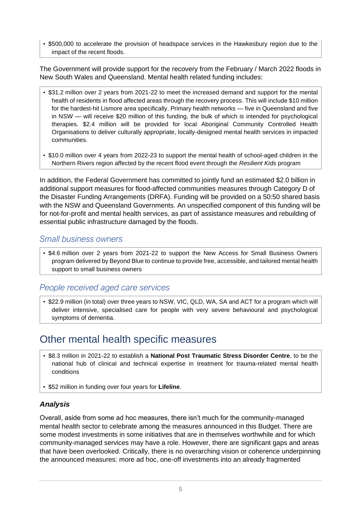• \$500,000 to accelerate the provision of headspace services in the Hawkesbury region due to the impact of the recent floods.

The Government will provide support for the recovery from the February / March 2022 floods in New South Wales and Queensland. Mental health related funding includes:

- \$31.2 million over 2 years from 2021-22 to meet the increased demand and support for the mental health of residents in flood affected areas through the recovery process. This will include \$10 million for the hardest-hit Lismore area specifically. Primary health networks — five in Queensland and five in NSW — will receive \$20 million of this funding, the bulk of which is intended for psychological therapies. \$2.4 million will be provided for local Aboriginal Community Controlled Health Organisations to deliver culturally appropriate, locally-designed mental health services in impacted communities.
- \$10.0 million over 4 years from 2022-23 to support the mental health of school-aged children in the Northern Rivers region affected by the recent flood event through the *Resilient Kids* program

In addition, the Federal Government has committed to jointly fund an estimated \$2.0 billion in additional support measures for flood-affected communities measures through Category D of the Disaster Funding Arrangements (DRFA). Funding will be provided on a 50:50 shared basis with the NSW and Queensland Governments. An unspecified component of this funding will be for not-for-profit and mental health services, as part of assistance measures and rebuilding of essential public infrastructure damaged by the floods.

#### *Small business owners*

• \$4.6 million over 2 years from 2021-22 to support the New Access for Small Business Owners program delivered by Beyond Blue to continue to provide free, accessible, and tailored mental health support to small business owners

#### *People received aged care services*

• \$22.9 million (in total) over three years to NSW, VIC, QLD, WA, SA and ACT for a program which will deliver intensive, specialised care for people with very severe behavioural and psychological symptoms of dementia.

# Other mental health specific measures

- \$8.3 million in 2021-22 to establish a **National Post Traumatic Stress Disorder Centre**, to be the national hub of clinical and technical expertise in treatment for trauma-related mental health conditions
- \$52 million in funding over four years for **Lifeline**.

#### *Analysis*

Overall, aside from some ad hoc measures, there isn't much for the community-managed mental health sector to celebrate among the measures announced in this Budget. There are some modest investments in some initiatives that are in themselves worthwhile and for which community-managed services may have a role. However, there are significant gaps and areas that have been overlooked. Critically, there is no overarching vision or coherence underpinning the announced measures: more ad hoc, one-off investments into an already fragmented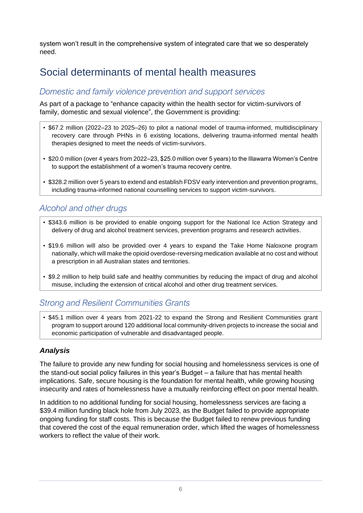system won't result in the comprehensive system of integrated care that we so desperately need.

# Social determinants of mental health measures

### *Domestic and family violence prevention and support services*

As part of a package to "enhance capacity within the health sector for victim-survivors of family, domestic and sexual violence", the Government is providing:

- \$67.2 million (2022–23 to 2025–26) to pilot a national model of trauma-informed, multidisciplinary recovery care through PHNs in 6 existing locations, delivering trauma-informed mental health therapies designed to meet the needs of victim-survivors.
- \$20.0 million (over 4 years from 2022–23, \$25.0 million over 5 years) to the Illawarra Women's Centre to support the establishment of a women's trauma recovery centre.
- \$328.2 million over 5 years to extend and establish FDSV early intervention and prevention programs, including trauma-informed national counselling services to support victim-survivors.

### *Alcohol and other drugs*

- \$343.6 million is be provided to enable ongoing support for the National Ice Action Strategy and delivery of drug and alcohol treatment services, prevention programs and research activities.
- \$19.6 million will also be provided over 4 years to expand the Take Home Naloxone program nationally, which will make the opioid overdose-reversing medication available at no cost and without a prescription in all Australian states and territories.
- \$9.2 million to help build safe and healthy communities by reducing the impact of drug and alcohol misuse, including the extension of critical alcohol and other drug treatment services.

### *Strong and Resilient Communities Grants*

• \$45.1 million over 4 years from 2021-22 to expand the Strong and Resilient Communities grant program to support around 120 additional local community-driven projects to increase the social and economic participation of vulnerable and disadvantaged people.

#### *Analysis*

The failure to provide any new funding for social housing and homelessness services is one of the stand-out social policy failures in this year's Budget – a failure that has mental health implications. Safe, secure housing is the foundation for mental health, while growing housing insecurity and rates of homelessness have a mutually reinforcing effect on poor mental health.

In addition to no additional funding for social housing, homelessness services are facing a \$39.4 million funding black hole from July 2023, as the Budget failed to provide appropriate ongoing funding for staff costs. This is because the Budget failed to renew previous funding that covered the cost of the equal remuneration order, which lifted the wages of homelessness workers to reflect the value of their work.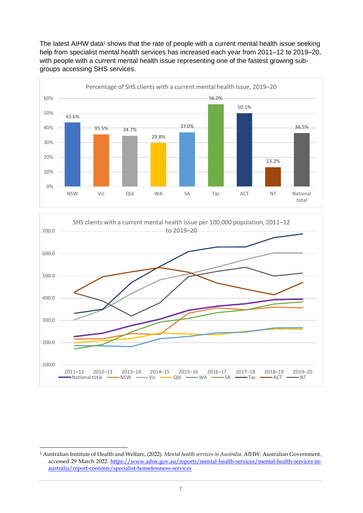The latest AIHW data<sup>1</sup> shows that the rate of people with a current mental health issue seeking help from specialist mental health services has increased each year from 2011–12 to 2019–20, with people with a current mental health issue representing one of the fastest growing subgroups accessing SHS services.





<sup>1</sup> Australian Institute of Health and Welfare, (2022). *Mental health services in Australia*. AIHW: Australian Government. accessed 29 March 2022. [https://www.aihw.gov.au/reports/mental-health-services/mental-health-services-in](https://www.aihw.gov.au/reports/mental-health-services/mental-health-services-in-australia/report-contents/specialist-homelessness-services)[australia/report-contents/specialist-homelessness-services](https://www.aihw.gov.au/reports/mental-health-services/mental-health-services-in-australia/report-contents/specialist-homelessness-services)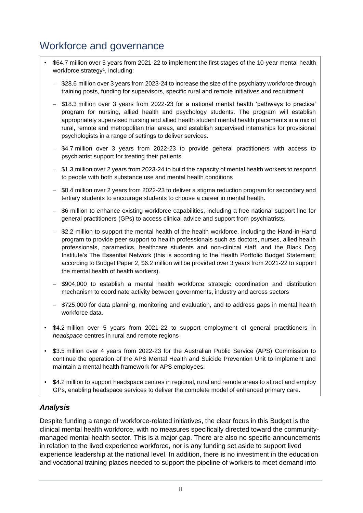# Workforce and governance

- \$64.7 million over 5 years from 2021-22 to implement the first stages of the 10-year mental health workforce strategy<sup>1</sup>, including:
	- \$28.6 million over 3 years from 2023-24 to increase the size of the psychiatry workforce through training posts, funding for supervisors, specific rural and remote initiatives and recruitment
	- \$18.3 million over 3 years from 2022-23 for a national mental health 'pathways to practice' program for nursing, allied health and psychology students. The program will establish appropriately supervised nursing and allied health student mental health placements in a mix of rural, remote and metropolitan trial areas, and establish supervised internships for provisional psychologists in a range of settings to deliver services.
	- \$4.7 million over 3 years from 2022-23 to provide general practitioners with access to psychiatrist support for treating their patients
	- \$1.3 million over 2 years from 2023-24 to build the capacity of mental health workers to respond to people with both substance use and mental health conditions
	- \$0.4 million over 2 years from 2022-23 to deliver a stigma reduction program for secondary and tertiary students to encourage students to choose a career in mental health.
	- \$6 million to enhance existing workforce capabilities, including a free national support line for general practitioners (GPs) to access clinical advice and support from psychiatrists.
	- \$2.2 million to support the mental health of the health workforce, including the Hand-in-Hand program to provide peer support to health professionals such as doctors, nurses, allied health professionals, paramedics, healthcare students and non-clinical staff, and the Black Dog Institute's The Essential Network (this is according to the Health Portfolio Budget Statement; according to Budget Paper 2, \$6.2 million will be provided over 3 years from 2021-22 to support the mental health of health workers).
	- \$904,000 to establish a mental health workforce strategic coordination and distribution mechanism to coordinate activity between governments, industry and across sectors
	- \$725,000 for data planning, monitoring and evaluation, and to address gaps in mental health workforce data.
- \$4.2 million over 5 years from 2021-22 to support employment of general practitioners in *headspace* centres in rural and remote regions
- \$3.5 million over 4 years from 2022-23 for the Australian Public Service (APS) Commission to continue the operation of the APS Mental Health and Suicide Prevention Unit to implement and maintain a mental health framework for APS employees.
- \$4.2 million to support headspace centres in regional, rural and remote areas to attract and employ GPs, enabling headspace services to deliver the complete model of enhanced primary care.

#### *Analysis*

Despite funding a range of workforce-related initiatives, the clear focus in this Budget is the clinical mental health workforce, with no measures specifically directed toward the communitymanaged mental health sector. This is a major gap. There are also no specific announcements in relation to the lived experience workforce, nor is any funding set aside to support lived experience leadership at the national level. In addition, there is no investment in the education and vocational training places needed to support the pipeline of workers to meet demand into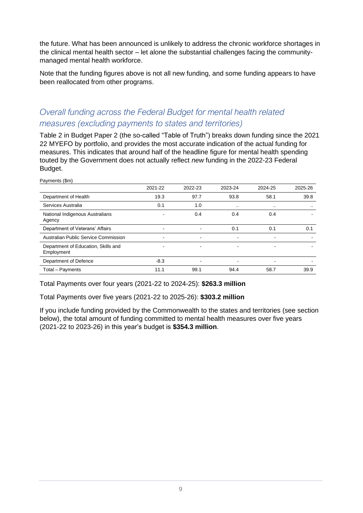the future. What has been announced is unlikely to address the chronic workforce shortages in the clinical mental health sector – let alone the substantial challenges facing the communitymanaged mental health workforce.

Note that the funding figures above is not all new funding, and some funding appears to have been reallocated from other programs.

### *Overall funding across the Federal Budget for mental health related measures (excluding payments to states and territories)*

Table 2 in Budget Paper 2 (the so-called "Table of Truth") breaks down funding since the 2021 22 MYEFO by portfolio, and provides the most accurate indication of the actual funding for measures. This indicates that around half of the headline figure for mental health spending touted by the Government does not actually reflect *new* funding in the 2022-23 Federal Budget.

| Payments (\$m)                                    |         |                          |           |         |               |
|---------------------------------------------------|---------|--------------------------|-----------|---------|---------------|
|                                                   | 2021-22 | 2022-23                  | 2023-24   | 2024-25 | 2025-26       |
| Department of Health                              | 19.3    | 97.7                     | 93.8      | 58.1    | 39.8          |
| Services Australia                                | 0.1     | 1.0                      | $\cdot$ . | $\cdot$ | $\sim$ $\sim$ |
| National Indigenous Australians<br>Agency         |         | 0.4                      | 0.4       | 0.4     |               |
| Department of Veterans' Affairs                   |         |                          | 0.1       | 0.1     | 0.1           |
| Australian Public Service Commission              | -       | $\blacksquare$           | ٠         | ۰       |               |
| Department of Education, Skills and<br>Employment | -       | $\overline{\phantom{0}}$ | -         | -       |               |
| Department of Defence                             | $-8.3$  | $\overline{\phantom{0}}$ | -         | ٠       |               |
| Total - Payments                                  | 11.1    | 99.1                     | 94.4      | 58.7    | 39.9          |

Total Payments over four years (2021-22 to 2024-25): **\$263.3 million**

Payments (\$m)

Total Payments over five years (2021-22 to 2025-26): **\$303.2 million**

If you include funding provided by the Commonwealth to the states and territories (see section below), the total amount of funding committed to mental health measures over five years (2021-22 to 2023-26) in this year's budget is **\$354.3 million**.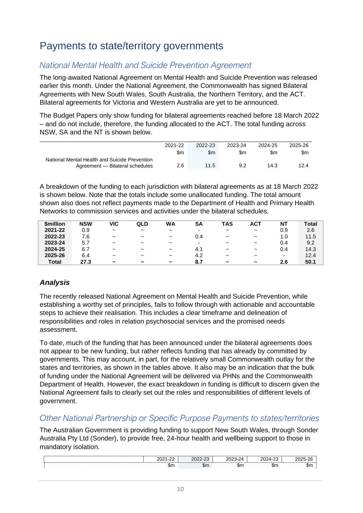# Payments to state/territory governments

### *National Mental Health and Suicide Prevention Agreement*

The long-awaited National Agreement on Mental Health and Suicide Prevention was released earlier this month. Under the National Agreement, the Commonwealth has signed Bilateral Agreements with New South Wales, South Australia, the Northern Territory, and the ACT. Bilateral agreements for Victoria and Western Australia are yet to be announced.

The Budget Papers only show funding for bilateral agreements reached before 18 March 2022 – and do not include, therefore, the funding allocated to the ACT. The total funding across NSW, SA and the NT is shown below.

|                                                                                  | 2021-22 | 2022-23       | 2023-24 | 2024-25 | 2025-26 |
|----------------------------------------------------------------------------------|---------|---------------|---------|---------|---------|
|                                                                                  | \$m     | $\mathsf{Sm}$ | \$m     | \$m     | \$m     |
| National Mental Health and Suicide Prevention<br>Agreement - Bilateral schedules | 2.6     | 11.5          | 9.2     | 14.3    | 12.4    |

A breakdown of the funding to each jurisdiction with bilateral agreements as at 18 March 2022 is shown below. Note that the totals include some unallocated funding. The total amount shown also does not reflect payments made to the Department of Health and Primary Health Networks to commission services and activities under the bilateral schedules.

| <b><i><u>Smillion</u></i></b> | <b>NSW</b> | VIC                   | QLD                   | WA                    | SΑ  | TAS                   | <b>ACT</b>            | <b>NT</b> | Total |
|-------------------------------|------------|-----------------------|-----------------------|-----------------------|-----|-----------------------|-----------------------|-----------|-------|
| 2021-22                       | 0.9        | $\tilde{\phantom{a}}$ | $\tilde{\phantom{a}}$ | $\tilde{\phantom{a}}$ | -   | $\tilde{\phantom{a}}$ | $\tilde{\phantom{a}}$ | 0.9       | 2.6   |
| 2022-23                       | 7.6        | $\tilde{\phantom{a}}$ | $\tilde{\phantom{a}}$ | $\tilde{\phantom{a}}$ | 0.4 | $\tilde{\phantom{a}}$ | $\tilde{\phantom{a}}$ | 1.0       | 11.5  |
| 2023-24                       | 5.7        | $\tilde{\phantom{a}}$ | $\tilde{\phantom{a}}$ | $\tilde{\phantom{a}}$ | -   | $\tilde{\phantom{a}}$ | $\tilde{\phantom{a}}$ | 0.4       | 9.2   |
| 2024-25                       | 6.7        | $\tilde{\phantom{a}}$ | $\tilde{\phantom{a}}$ | $\tilde{\phantom{a}}$ | 4.1 | $\tilde{\phantom{a}}$ | $\tilde{\phantom{a}}$ | 0.4       | 14.3  |
| 2025-26                       | 6.4        | $\tilde{\phantom{a}}$ | $\tilde{\phantom{a}}$ | $\tilde{\phantom{a}}$ | 4.2 | $\tilde{\phantom{a}}$ | $\tilde{\phantom{a}}$ | ٠         | 12.4  |
| Total                         | 27.3       | $\tilde{\phantom{a}}$ | $\tilde{\phantom{a}}$ | $\tilde{\phantom{a}}$ | 8.7 | $\tilde{\phantom{a}}$ | $\tilde{\phantom{a}}$ | 2.6       | 50.1  |

#### *Analysis*

The recently released National Agreement on Mental Health and Suicide Prevention, while establishing a worthy set of principles, fails to follow through with actionable and accountable steps to achieve their realisation. This includes a clear timeframe and delineation of responsibilities and roles in relation psychosocial services and the promised needs assessment.

To date, much of the funding that has been announced under the bilateral agreements does not appear to be new funding, but rather reflects funding that has already by committed by governments. This may account, in part, for the relatively small Commonwealth outlay for the states and territories, as shown in the tables above. It also may be an indication that the bulk of funding under the National Agreement will be delivered via PHNs and the Commonwealth Department of Health. However, the exact breakdown in funding is difficult to discern given the National Agreement fails to clearly set out the roles and responsibilities of different levels of government.

### *Other National Partnership or Specific Purpose Payments to states/territories*

The Australian Government is providing funding to support New South Wales, through Sonder Australia Pty Ltd (Sonder), to provide free, 24-hour health and wellbeing support to those in mandatory isolation.

| $\sim$<br>$\sim$<br>__ | $\sim$<br>20 <sup>o</sup><br>LULL LU |     | $\sim$<br>∼ | - -<br> |
|------------------------|--------------------------------------|-----|-------------|---------|
| Sn.                    | \$m                                  | \$m | œ<br>.sm    | .Sm     |